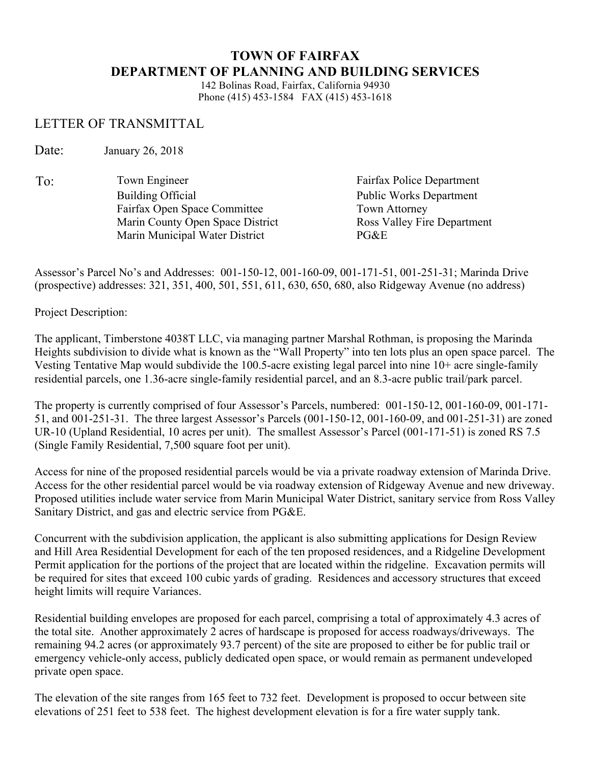## **TOWN OF FAIRFAX DEPARTMENT OF PLANNING AND BUILDING SERVICES**

142 Bolinas Road, Fairfax, California 94930 Phone (415) 453-1584 FAX (415) 453-1618

## LETTER OF TRANSMITTAL

Date: January 26, 2018

To: Town Engineer Fairfax Police Department Building Official Public Works Department Fairfax Open Space Committee Town Attorney Marin County Open Space District Ross Valley Fire Department Marin Municipal Water District PG&E

Assessor's Parcel No's and Addresses: 001-150-12, 001-160-09, 001-171-51, 001-251-31; Marinda Drive (prospective) addresses: 321, 351, 400, 501, 551, 611, 630, 650, 680, also Ridgeway Avenue (no address)

Project Description:

The applicant, Timberstone 4038T LLC, via managing partner Marshal Rothman, is proposing the Marinda Heights subdivision to divide what is known as the "Wall Property" into ten lots plus an open space parcel. The Vesting Tentative Map would subdivide the 100.5-acre existing legal parcel into nine 10+ acre single-family residential parcels, one 1.36-acre single-family residential parcel, and an 8.3-acre public trail/park parcel.

The property is currently comprised of four Assessor's Parcels, numbered: 001-150-12, 001-160-09, 001-171- 51, and 001-251-31. The three largest Assessor's Parcels (001-150-12, 001-160-09, and 001-251-31) are zoned UR-10 (Upland Residential, 10 acres per unit). The smallest Assessor's Parcel (001-171-51) is zoned RS 7.5 (Single Family Residential, 7,500 square foot per unit).

Access for nine of the proposed residential parcels would be via a private roadway extension of Marinda Drive. Access for the other residential parcel would be via roadway extension of Ridgeway Avenue and new driveway. Proposed utilities include water service from Marin Municipal Water District, sanitary service from Ross Valley Sanitary District, and gas and electric service from PG&E.

Concurrent with the subdivision application, the applicant is also submitting applications for Design Review and Hill Area Residential Development for each of the ten proposed residences, and a Ridgeline Development Permit application for the portions of the project that are located within the ridgeline. Excavation permits will be required for sites that exceed 100 cubic yards of grading. Residences and accessory structures that exceed height limits will require Variances.

Residential building envelopes are proposed for each parcel, comprising a total of approximately 4.3 acres of the total site. Another approximately 2 acres of hardscape is proposed for access roadways/driveways. The remaining 94.2 acres (or approximately 93.7 percent) of the site are proposed to either be for public trail or emergency vehicle-only access, publicly dedicated open space, or would remain as permanent undeveloped private open space.

The elevation of the site ranges from 165 feet to 732 feet. Development is proposed to occur between site elevations of 251 feet to 538 feet. The highest development elevation is for a fire water supply tank.